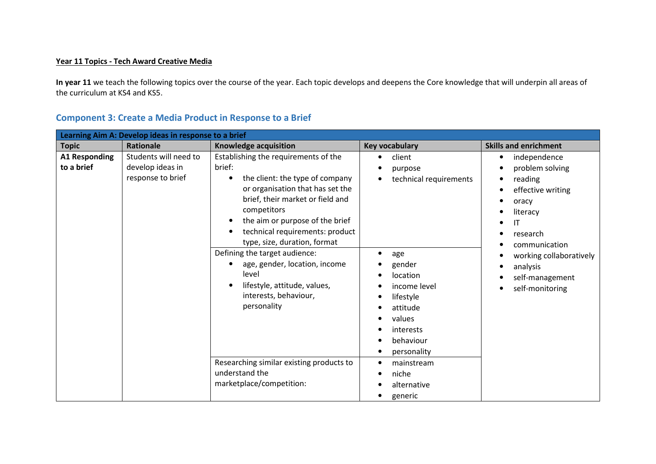## Year 11 Topics - Tech Award Creative Media

In year 11 we teach the following topics over the course of the year. Each topic develops and deepens the Core knowledge that will underpin all areas of the curriculum at KS4 and KS5.

| Learning Aim A: Develop ideas in response to a brief |                                                                |                                                                                                                                                                                                                                                                                                                                                                                                                                                                               |                                                                                                                                                                                                      |                                                                                                                                                                                                                                |  |
|------------------------------------------------------|----------------------------------------------------------------|-------------------------------------------------------------------------------------------------------------------------------------------------------------------------------------------------------------------------------------------------------------------------------------------------------------------------------------------------------------------------------------------------------------------------------------------------------------------------------|------------------------------------------------------------------------------------------------------------------------------------------------------------------------------------------------------|--------------------------------------------------------------------------------------------------------------------------------------------------------------------------------------------------------------------------------|--|
| <b>Topic</b>                                         | <b>Rationale</b>                                               | Knowledge acquisition                                                                                                                                                                                                                                                                                                                                                                                                                                                         | Key vocabulary                                                                                                                                                                                       | <b>Skills and enrichment</b>                                                                                                                                                                                                   |  |
| <b>A1 Responding</b><br>to a brief                   | Students will need to<br>develop ideas in<br>response to brief | Establishing the requirements of the<br>brief:<br>the client: the type of company<br>or organisation that has set the<br>brief, their market or field and<br>competitors<br>the aim or purpose of the brief<br>technical requirements: product<br>type, size, duration, format<br>Defining the target audience:<br>age, gender, location, income<br>level<br>lifestyle, attitude, values,<br>interests, behaviour,<br>personality<br>Researching similar existing products to | client<br>$\bullet$<br>purpose<br>technical requirements<br>age<br>gender<br>location<br>income level<br>lifestyle<br>attitude<br>values<br>interests<br>behaviour<br>personality<br>mainstream<br>٠ | independence<br>$\bullet$<br>problem solving<br>reading<br>$\bullet$<br>effective writing<br>oracy<br>literacy<br>ΙT<br>research<br>communication<br>working collaboratively<br>analysis<br>self-management<br>self-monitoring |  |
|                                                      |                                                                | understand the<br>marketplace/competition:                                                                                                                                                                                                                                                                                                                                                                                                                                    | niche<br>alternative<br>generic                                                                                                                                                                      |                                                                                                                                                                                                                                |  |

## Component 3: Create a Media Product in Response to a Brief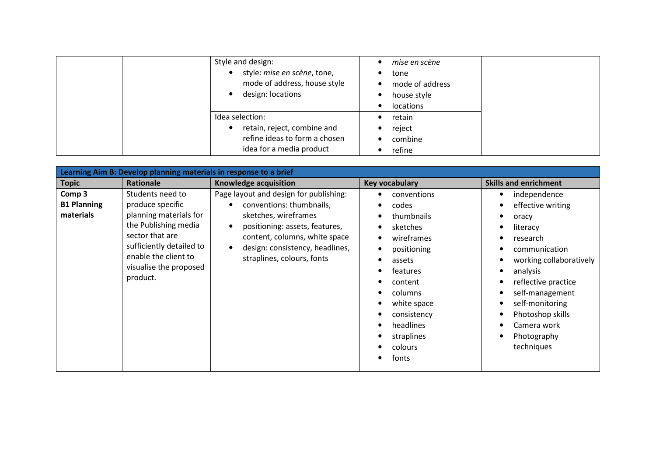| Style and design:<br>style: mise en scène, tone,<br>mode of address, house style<br>design: locations       | mise en scène<br>tone<br>$\bullet$<br>mode of address<br>$\bullet$<br>house style<br>$\bullet$<br>locations<br>$\bullet$ |
|-------------------------------------------------------------------------------------------------------------|--------------------------------------------------------------------------------------------------------------------------|
| Idea selection:<br>retain, reject, combine and<br>refine ideas to form a chosen<br>idea for a media product | retain<br>reject<br>$\bullet$<br>combine<br>$\bullet$<br>refine<br>$\bullet$                                             |

| Learning Aim B: Develop planning materials in response to a brief |                                                                                                                                                                                                     |                                                                                                                                                                                                                                |                                                                                                                                                                                                                                                  |                                                                                                                                                                                                                                                              |
|-------------------------------------------------------------------|-----------------------------------------------------------------------------------------------------------------------------------------------------------------------------------------------------|--------------------------------------------------------------------------------------------------------------------------------------------------------------------------------------------------------------------------------|--------------------------------------------------------------------------------------------------------------------------------------------------------------------------------------------------------------------------------------------------|--------------------------------------------------------------------------------------------------------------------------------------------------------------------------------------------------------------------------------------------------------------|
| <b>Topic</b>                                                      | Rationale                                                                                                                                                                                           | Knowledge acquisition                                                                                                                                                                                                          | <b>Key vocabulary</b>                                                                                                                                                                                                                            | <b>Skills and enrichment</b>                                                                                                                                                                                                                                 |
| Comp <sub>3</sub><br><b>B1 Planning</b><br>materials              | Students need to<br>produce specific<br>planning materials for<br>the Publishing media<br>sector that are<br>sufficiently detailed to<br>enable the client to<br>visualise the proposed<br>product. | Page layout and design for publishing:<br>conventions: thumbnails,<br>sketches, wireframes<br>positioning: assets, features,<br>content, columns, white space<br>design: consistency, headlines,<br>straplines, colours, fonts | conventions<br>codes<br>٠<br>thumbnails<br>$\bullet$<br>sketches<br>$\bullet$<br>wireframes<br>$\bullet$<br>positioning<br>assets<br>features<br>content<br>columns<br>white space<br>consistency<br>headlines<br>straplines<br>colours<br>fonts | independence<br>٠<br>effective writing<br>oracy<br>literacy<br>research<br>communication<br>working collaboratively<br>analysis<br>reflective practice<br>self-management<br>self-monitoring<br>Photoshop skills<br>Camera work<br>Photography<br>techniques |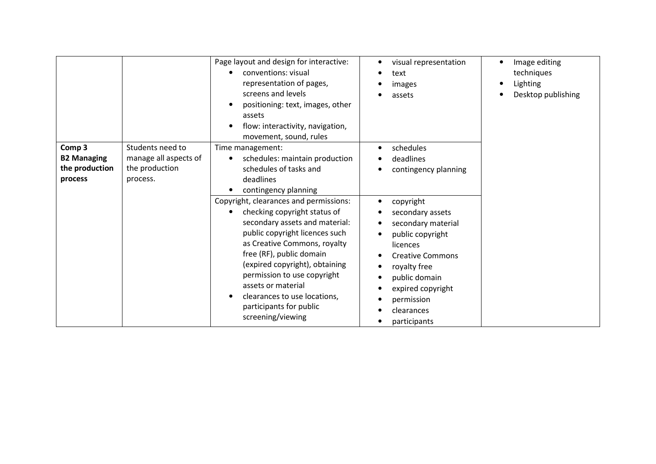|                                                |                                                             | Page layout and design for interactive:<br>conventions: visual<br>representation of pages,<br>screens and levels<br>positioning: text, images, other<br>assets<br>flow: interactivity, navigation,<br>movement, sound, rules                                                                                                                                                                  | visual representation<br>text<br>images<br>assets                                                                                                                                                | Image editing<br>techniques<br>Lighting<br>Desktop publishing |
|------------------------------------------------|-------------------------------------------------------------|-----------------------------------------------------------------------------------------------------------------------------------------------------------------------------------------------------------------------------------------------------------------------------------------------------------------------------------------------------------------------------------------------|--------------------------------------------------------------------------------------------------------------------------------------------------------------------------------------------------|---------------------------------------------------------------|
| Comp 3<br><b>B2 Managing</b><br>the production | Students need to<br>manage all aspects of<br>the production | Time management:<br>schedules: maintain production<br>schedules of tasks and                                                                                                                                                                                                                                                                                                                  | schedules<br>deadlines<br>contingency planning                                                                                                                                                   |                                                               |
| process                                        | process.                                                    | deadlines<br>contingency planning<br>Copyright, clearances and permissions:<br>checking copyright status of<br>secondary assets and material:<br>public copyright licences such<br>as Creative Commons, royalty<br>free (RF), public domain<br>(expired copyright), obtaining<br>permission to use copyright<br>assets or material<br>clearances to use locations,<br>participants for public | copyright<br>secondary assets<br>secondary material<br>public copyright<br>licences<br><b>Creative Commons</b><br>royalty free<br>public domain<br>expired copyright<br>permission<br>clearances |                                                               |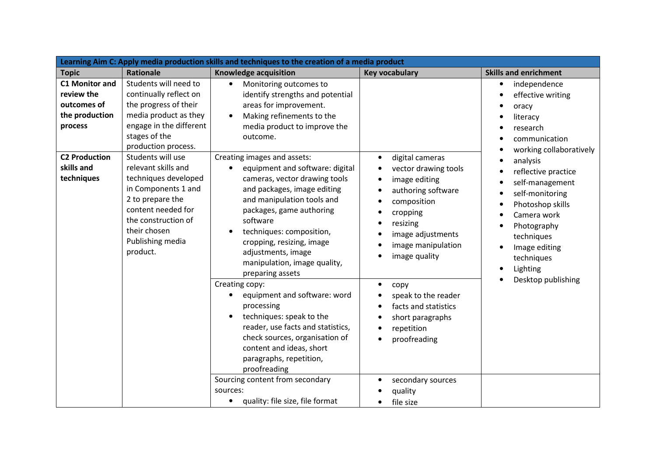| Learning Aim C: Apply media production skills and techniques to the creation of a media product |                                                                                                                                                                                                          |                                                                                                                                                                                                                                                                                                                                                                                                        |                                                                                                                                                                                                                                                                                                                                                    |                                                                                                                                                                                                                                   |
|-------------------------------------------------------------------------------------------------|----------------------------------------------------------------------------------------------------------------------------------------------------------------------------------------------------------|--------------------------------------------------------------------------------------------------------------------------------------------------------------------------------------------------------------------------------------------------------------------------------------------------------------------------------------------------------------------------------------------------------|----------------------------------------------------------------------------------------------------------------------------------------------------------------------------------------------------------------------------------------------------------------------------------------------------------------------------------------------------|-----------------------------------------------------------------------------------------------------------------------------------------------------------------------------------------------------------------------------------|
| <b>Topic</b>                                                                                    | <b>Rationale</b>                                                                                                                                                                                         | Knowledge acquisition                                                                                                                                                                                                                                                                                                                                                                                  | <b>Key vocabulary</b>                                                                                                                                                                                                                                                                                                                              | <b>Skills and enrichment</b>                                                                                                                                                                                                      |
| <b>C1 Monitor and</b><br>review the<br>outcomes of<br>the production<br>process                 | Students will need to<br>continually reflect on<br>the progress of their<br>media product as they<br>engage in the different<br>stages of the<br>production process.                                     | Monitoring outcomes to<br>$\bullet$<br>identify strengths and potential<br>areas for improvement.<br>Making refinements to the<br>$\bullet$<br>media product to improve the<br>outcome.                                                                                                                                                                                                                |                                                                                                                                                                                                                                                                                                                                                    | independence<br>$\bullet$<br>effective writing<br>oracy<br>literacy<br>research<br>communication                                                                                                                                  |
| <b>C2 Production</b><br>skills and<br>techniques                                                | Students will use<br>relevant skills and<br>techniques developed<br>in Components 1 and<br>2 to prepare the<br>content needed for<br>the construction of<br>their chosen<br>Publishing media<br>product. | Creating images and assets:<br>equipment and software: digital<br>$\bullet$<br>cameras, vector drawing tools<br>and packages, image editing<br>and manipulation tools and<br>packages, game authoring<br>software<br>techniques: composition,<br>cropping, resizing, image<br>adjustments, image<br>manipulation, image quality,<br>preparing assets<br>Creating copy:<br>equipment and software: word | digital cameras<br>$\bullet$<br>vector drawing tools<br>$\bullet$<br>image editing<br>$\bullet$<br>authoring software<br>$\bullet$<br>composition<br>$\bullet$<br>cropping<br>resizing<br>$\bullet$<br>image adjustments<br>$\bullet$<br>image manipulation<br>image quality<br>$\bullet$<br>$\bullet$<br>copy<br>speak to the reader<br>$\bullet$ | working collaboratively<br>analysis<br>reflective practice<br>self-management<br>self-monitoring<br>Photoshop skills<br>Camera work<br>Photography<br>techniques<br>Image editing<br>techniques<br>Lighting<br>Desktop publishing |
|                                                                                                 |                                                                                                                                                                                                          | processing<br>techniques: speak to the<br>reader, use facts and statistics,<br>check sources, organisation of<br>content and ideas, short<br>paragraphs, repetition,<br>proofreading<br>Sourcing content from secondary<br>sources:<br>quality: file size, file format                                                                                                                                 | facts and statistics<br>short paragraphs<br>repetition<br>$\bullet$<br>proofreading<br>$\bullet$<br>secondary sources<br>$\bullet$<br>quality<br>file size                                                                                                                                                                                         |                                                                                                                                                                                                                                   |